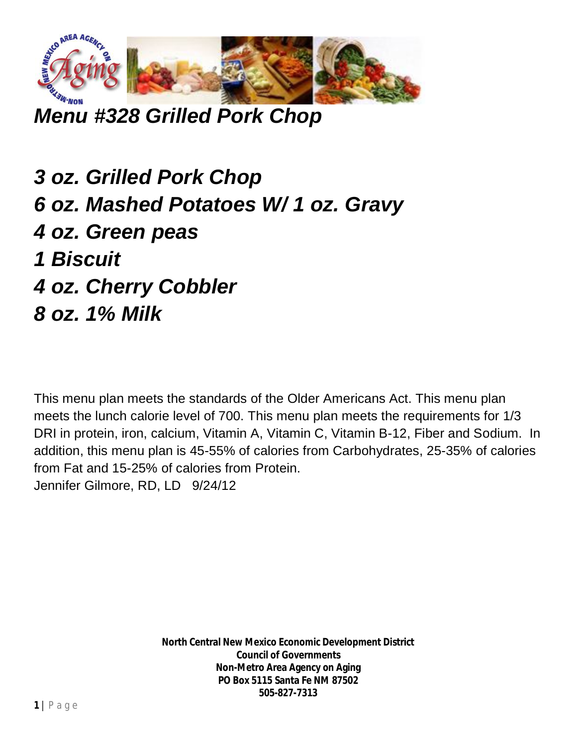

*Menu #328 Grilled Pork Chop*

*3 oz. Grilled Pork Chop 6 oz. Mashed Potatoes W/ 1 oz. Gravy 4 oz. Green peas 1 Biscuit 4 oz. Cherry Cobbler*

*8 oz. 1% Milk*

This menu plan meets the standards of the Older Americans Act. This menu plan meets the lunch calorie level of 700. This menu plan meets the requirements for 1/3 DRI in protein, iron, calcium, Vitamin A, Vitamin C, Vitamin B-12, Fiber and Sodium. In addition, this menu plan is 45-55% of calories from Carbohydrates, 25-35% of calories from Fat and 15-25% of calories from Protein. Jennifer Gilmore, RD, LD 9/24/12

> **North Central New Mexico Economic Development District Council of Governments Non-Metro Area Agency on Aging PO Box 5115 Santa Fe NM 87502 505-827-7313**